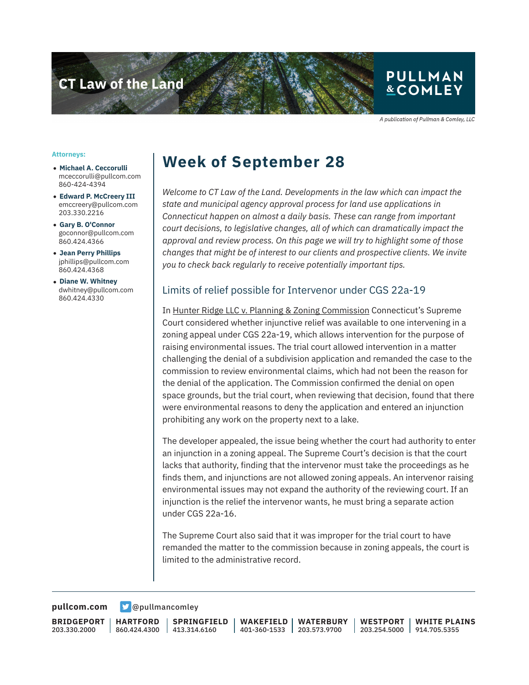

A publication of Pullman & Comley, LLC

#### **Attorneys:**

- **Michael A. Ceccorulli** mceccorulli@pullcom.com 860-424-4394
- **Edward P. McCreery III** emccreery@pullcom.com 203.330.2216
- **Gary B. O'Connor** goconnor@pullcom.com 860.424.4366
- **Jean Perry Phillips** jphillips@pullcom.com 860.424.4368
- **Diane W. Whitney** dwhitney@pullcom.com 860.424.4330

## **Week of September 28**

*Welcome to CT Law of the Land. Developments in the law which can impact the state and municipal agency approval process for land use applications in Connecticut happen on almost a daily basis. These can range from important court decisions, to legislative changes, all of which can dramatically impact the approval and review process. On this page we will try to highlight some of those changes that might be of interest to our clients and prospective clients. We invite you to check back regularly to receive potentially important tips.*

#### Limits of relief possible for Intervenor under CGS 22a-19

In Hunter Ridge LLC v. Planning & Zoning Commission Connecticut's Supreme Court considered whether injunctive relief was available to one intervening in a zoning appeal under CGS 22a-19, which allows intervention for the purpose of raising environmental issues. The trial court allowed intervention in a matter challenging the denial of a subdivision application and remanded the case to the commission to review environmental claims, which had not been the reason for the denial of the application. The Commission confirmed the denial on open space grounds, but the trial court, when reviewing that decision, found that there were environmental reasons to deny the application and entered an injunction prohibiting any work on the property next to a lake.

The developer appealed, the issue being whether the court had authority to enter an injunction in a zoning appeal. The Supreme Court's decision is that the court lacks that authority, finding that the intervenor must take the proceedings as he finds them, and injunctions are not allowed zoning appeals. An intervenor raising environmental issues may not expand the authority of the reviewing court. If an injunction is the relief the intervenor wants, he must bring a separate action under CGS 22a-16.

The Supreme Court also said that it was improper for the trial court to have remanded the matter to the commission because in zoning appeals, the court is limited to the administrative record.

**[pullcom.com](https://www.pullcom.com) g** [@pullmancomley](https://twitter.com/PullmanComley)

**BRIDGEPORT** 203.330.2000

**HARTFORD** 860.424.4300

**SPRINGFIELD** 413.314.6160

**WAKEFIELD** 401-360-1533 **WATERBURY** 203.573.9700 **WESTPORT**

203.254.5000 914.705.5355 **WHITE PLAINS**